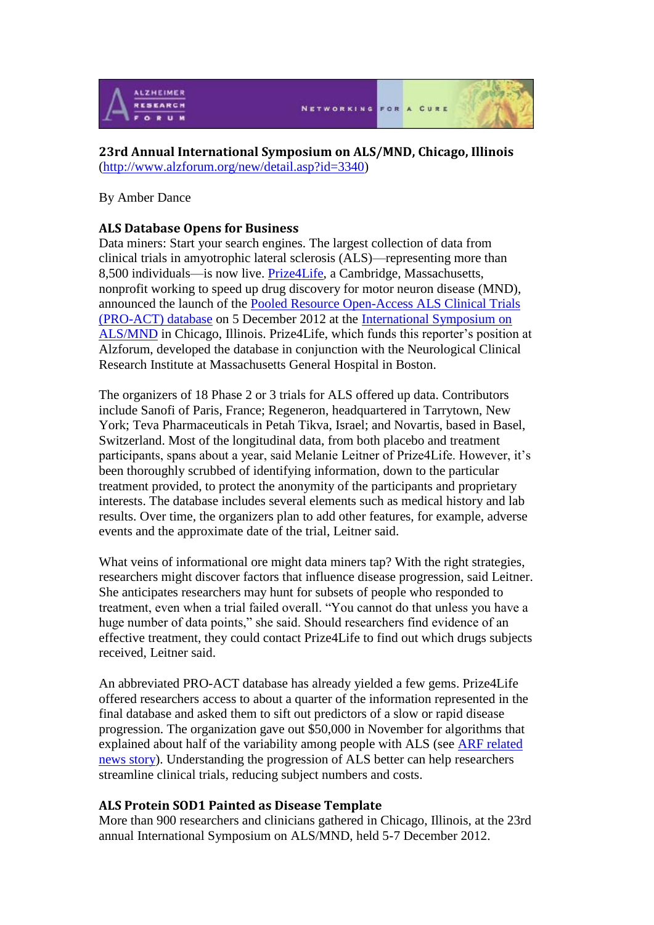

# **23rd Annual International Symposium on ALS/MND, Chicago, Illinois** [\(http://www.alzforum.org/new/detail.asp?id=3340\)](http://www.alzforum.org/new/detail.asp?id=3340)

## By Amber Dance

# **ALS Database Opens for Business**

Data miners: Start your search engines. The largest collection of data from [clinical trials](http://www.alzforum.org/new/detail.asp?id=3340) in amyotrophic lateral sclerosis (ALS)—representing more than 8,500 individuals—is now live. [Prize4Life,](http://www.prize4life.org/) a Cambridge, Massachusetts, nonprofit working to speed up drug discovery for motor neuron disease (MND), announced the launch of the [Pooled Resource Open-Access ALS Clinical Trials](http://www.alsdatabase.org/)  [\(PRO-ACT\) database](http://www.alsdatabase.org/) on 5 December 2012 at the [International Symposium on](http://www.mndassociation.org/research/International+Symposium/)  [ALS/MND](http://www.mndassociation.org/research/International+Symposium/) in Chicago, Illinois. Prize4Life, which funds this reporter's position at Alzforum, developed the database in conjunction with the Neurological Clinical [Research Institute](http://www.alzforum.org/new/detail.asp?id=3340) at Massachusetts General Hospital in Boston.

The organizers of 18 Phase 2 or 3 trials for ALS offered up data. Contributors include Sanofi of Paris, France; Regeneron, headquartered in Tarrytown, New York; Teva Pharmaceuticals in Petah Tikva, Israel; and Novartis, based in Basel, Switzerland. Most of the longitudinal data, from both placebo and treatment participants, spans about a year, said Melanie Leitner of Prize4Life. However, it's been thoroughly scrubbed of identifying information, down to the particular treatment provided, to protect the anonymity of the participants and proprietary interests. The database includes several elements such as medical history and lab results. Over time, the organizers plan to add other features, for example, adverse events and the approximate date of the trial, Leitner said.

What veins of informational ore might data miners tap? With the right strategies, researchers might discover factors that influence disease progression, said Leitner. She anticipates researchers may hunt for subsets of people who responded to treatment, even when a trial failed overall. "You cannot do that unless you have a huge number of data points," she said. Should researchers find evidence of an effective treatment, they could contact Prize4Life to find out which drugs subjects received, Leitner said.

An abbreviated PRO-ACT database has already yielded a few gems. Prize4Life offered researchers access to about a quarter of the information represented in the final database and asked them to sift out predictors of a slow or rapid disease progression. The organization gave out \$50,000 in November for algorithms that explained about half of the variability among people with ALS (see [ARF related](http://www.alzforum.org/new/detail.asp?id=3320)  [news story\)](http://www.alzforum.org/new/detail.asp?id=3320). Understanding the progression of ALS better can help researchers streamline clinical trials, reducing subject numbers and costs.

### **ALS Protein SOD1 Painted as Disease Template**

More than 900 researchers and clinicians gathered in Chicago, Illinois, at the 23rd annual International Symposium on ALS/MND, held 5-7 December 2012.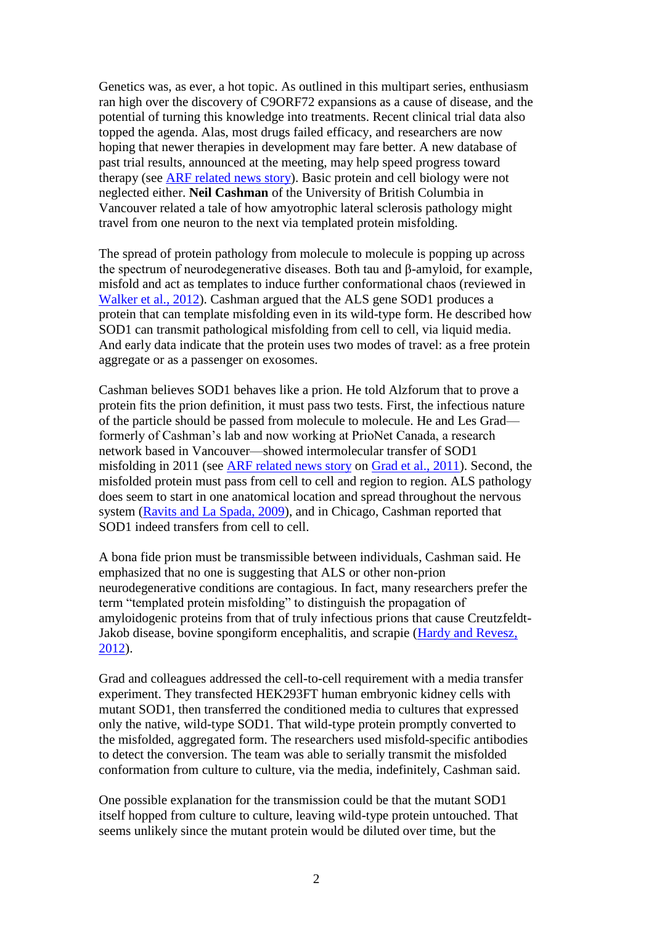Genetics was, as ever, a hot topic. As outlined in this multipart series, enthusiasm ran high over the discovery of C9ORF72 expansions as a cause of disease, and the potential of turning this knowledge into treatments. Recent clinical trial data also topped the agenda. Alas, most drugs failed efficacy, and researchers are now hoping that newer therapies in development may fare better. A new database of past trial results, announced at the meeting, may help speed progress toward therapy (see [ARF related news story\)](http://www.alzforum.org/new/detail.asp?id=3340). Basic protein and cell biology were not neglected either. **Neil Cashman** of the University of British Columbia in Vancouver related a tale of how amyotrophic lateral [sclerosis](http://www.alzforum.org/new/detail.asp?id=3361) pathology might travel from one neuron to the next via templated protein misfolding.

The spread of protein pathology from molecule to molecule is popping up across the spectrum of neurodegenerative diseases. Both tau and β-amyloid, for example, misfold and act as templates to induce further conformational chaos (reviewed in [Walker et al., 2012\)](http://www.alzforum.org/pap/annotation.asp?powID=140494). Cashman argued that the ALS gene SOD1 produces a protein that can template misfolding even in its wild-type form. He described how SOD1 can transmit pathological misfolding from cell to cell, via liquid media. And early data indicate that the protein uses two modes of travel: as a free protein aggregate or as a passenger on exosomes.

Cashman believes SOD1 behaves like a prion. He told Alzforum that to prove a protein fits the prion definition, it must pass two tests. First, the infectious nature of the particle should be passed from molecule to molecule. He and Les Grad formerly of Cashman's lab and now working at PrioNet Canada, a research network based in Vancouver—showed intermolecular transfer of SOD1 misfolding in 2011 (see [ARF related news story](http://www.alzforum.org/new/detail.asp?id=2911) on [Grad et al., 2011\)](http://www.alzforum.org/pap/annotation.asp?powID=122250). Second, the misfolded protein must pass from cell to cell and region to region. ALS pathology does seem to start in one anatomical location and spread throughout the nervous system [\(Ravits and La Spada, 2009\)](http://www.alzforum.org/pap/annotation.asp?powID=122676), and in Chicago, Cashman reported that SOD1 indeed transfers from cell to cell.

A bona fide prion must be transmissible between individuals, Cashman said. He emphasized that no one is suggesting that ALS or other non-prion neurodegenerative conditions are contagious. In fact, many researchers prefer the term "templated protein misfolding" to distinguish the propagation of amyloidogenic proteins from that of truly infectious prions that cause Creutzfeldt-Jakob disease, bovine spongiform encephalitis, and scrapie [\(Hardy and Revesz,](http://www.alzforum.org/pap/annotation.asp?powID=133068)  [2012\)](http://www.alzforum.org/pap/annotation.asp?powID=133068).

Grad and colleagues addressed the cell-to-cell requirement with a media transfer experiment. They transfected HEK293FT human embryonic [kidney](http://www.alzforum.org/new/detail.asp?id=3361) cells with mutant SOD1, then transferred the conditioned media to cultures that expressed only the native, wild-type SOD1. That wild-type protein promptly converted to the misfolded, aggregated form. The researchers used misfold-specific antibodies to detect the conversion. The team was able to serially transmit the misfolded conformation from culture to culture, via the media, indefinitely, Cashman said.

One possible explanation for the transmission could be that the mutant SOD1 itself hopped from culture to culture, leaving wild-type protein untouched. That seems unlikely since the mutant protein would be diluted over time, but the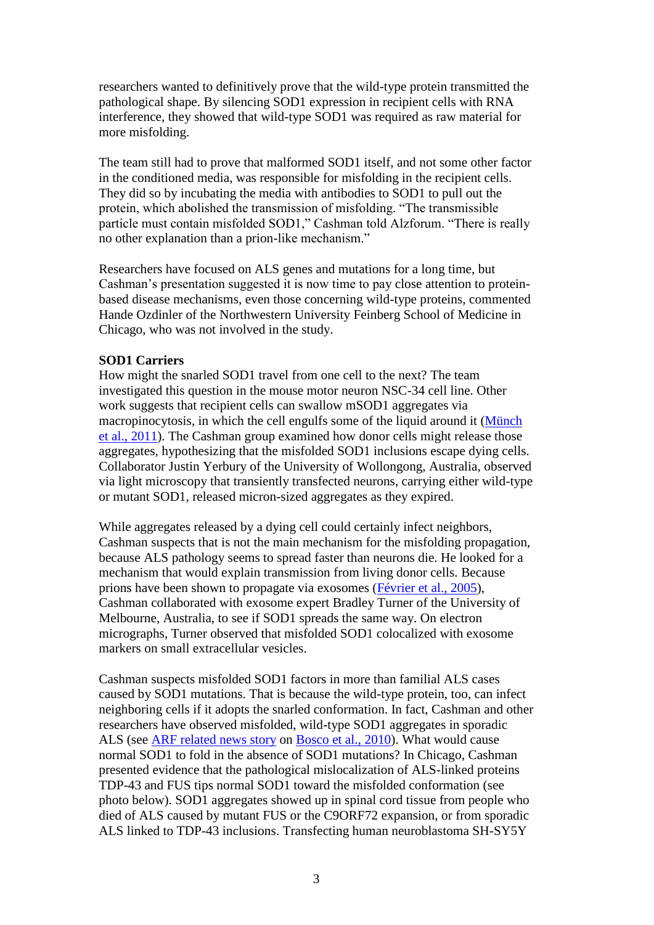researchers wanted to definitively prove that the wild-type protein transmitted the pathological shape. By silencing SOD1 expression in recipient cells with RNA interference, they showed that wild-type SOD1 was required as raw material for more misfolding.

The team still had to prove that malformed SOD1 itself, and not some other factor in the conditioned media, was responsible for misfolding in the recipient cells. They did so by incubating the media with antibodies to SOD1 to pull out the protein, which abolished the transmission of misfolding. "The transmissible particle must contain misfolded SOD1," Cashman told Alzforum. "There is really no other explanation than a prion-like mechanism."

Researchers have focused on ALS genes and mutations for a long time, but Cashman's presentation suggested it is now time to pay close attention to proteinbased disease mechanisms, even those concerning wild-type proteins, commented Hande Ozdinler of the Northwestern University Feinberg School of Medicine in Chicago, who was not involved in the study.

## **SOD1 Carriers**

How might the snarled SOD1 travel from one cell to the next? The team investigated this question in the mouse motor neuron NSC-34 cell line. Other work suggests that recipient cells can swallow mSOD1 aggregates via macropinocytosis, in which the cell engulfs some of the liquid around it [\(Münch](http://www.alzforum.org/pap/annotation.asp?powID=114166)  [et al., 2011\)](http://www.alzforum.org/pap/annotation.asp?powID=114166). The Cashman group examined how donor cells might release those aggregates, hypothesizing that the misfolded SOD1 inclusions escape dying cells. Collaborator Justin Yerbury of the University of Wollongong, Australia, observed via light microscopy that transiently transfected neurons, carrying either wild-type or mutant SOD1, released micron-sized aggregates as they expired.

While aggregates released by a dying cell could certainly infect neighbors, Cashman suspects that is not the main mechanism for the misfolding propagation, because ALS pathology seems to spread faster than neurons die. He looked for a mechanism that would explain transmission from living donor cells. Because prions have been shown to propagate via exosomes [\(Février et al., 2005\)](http://www.alzforum.org/pap/annotation.asp?powID=141305), Cashman collaborated with exosome expert Bradley Turner of the University of Melbourne, Australia, to see if SOD1 spreads the same way. On electron micrographs, Turner observed that misfolded SOD1 colocalized with exosome markers on small extracellular vesicles.

Cashman suspects misfolded SOD1 factors in more than familial ALS cases caused by SOD1 mutations. That is because the wild-type protein, too, can infect neighboring cells if it adopts the snarled conformation. In fact, Cashman and other researchers have observed misfolded, wild-type SOD1 aggregates in sporadic ALS (see [ARF related news story](http://www.alzforum.org/new/detail.asp?id=2590) on [Bosco et al., 2010\)](http://www.alzforum.org/pap/annotation.asp?powID=109800). What would cause normal SOD1 to fold in the absence of SOD1 mutations? In Chicago, Cashman presented evidence that the pathological mislocalization of ALS-linked proteins TDP-43 and FUS tips normal SOD1 toward the misfolded conformation (see photo below). SOD1 aggregates showed up in spinal cord tissue from people who died of ALS caused by mutant FUS or the C9ORF72 expansion, or from sporadic ALS linked to TDP-43 inclusions. Transfecting human neuroblastoma SH-SY5Y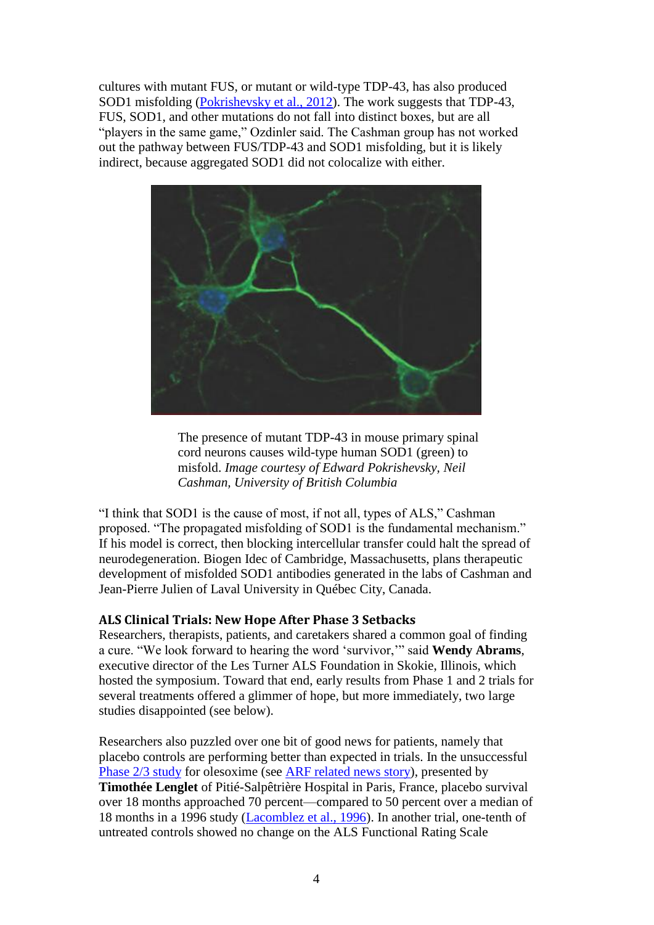cultures with mutant FUS, or mutant or wild-type TDP-43, has also produced SOD1 misfolding [\(Pokrishevsky et al., 2012\)](http://www.alzforum.org/pap/annotation.asp?powID=130755). The work suggests that TDP-43, FUS, SOD1, and other mutations do not fall into distinct boxes, but are all "players in the same game," Ozdinler said. The Cashman group has not worked out the pathway between FUS/TDP-43 and SOD1 misfolding, but it is likely indirect, because aggregated SOD1 did not colocalize with either.



The presence of mutant TDP-43 in mouse primary spinal cord neurons causes wild-type human SOD1 (green) to misfold. *Image courtesy of Edward Pokrishevsky, Neil Cashman, University of British Columbia*

"I think that SOD1 is the cause of most, if not all, types of ALS," Cashman proposed. "The propagated misfolding of SOD1 is the fundamental mechanism." If his model is correct, then blocking intercellular transfer could halt the spread of neurodegeneration. Biogen Idec of Cambridge, Massachusetts, plans therapeutic development of misfolded SOD1 antibodies generated in the labs of Cashman and Jean-Pierre Julien of Laval University in Québec City, Canada.

# **ALS [Clinical Trials:](http://www.alzforum.org/new/detail.asp?id=3365) New Hope After Phase 3 Setbacks**

Researchers, therapists, patients, and caretakers shared a common goal of finding a cure. "We look forward to hearing the word 'survivor,'" said **Wendy Abrams**, executive director of the Les Turner ALS Foundation in Skokie, Illinois, which hosted the symposium. Toward that end, early results from Phase 1 and 2 trials for several treatments offered a glimmer of hope, but more immediately, two large studies disappointed (see below).

Researchers also puzzled over one bit of good news for patients, namely that placebo controls are performing better than expected in trials. In the unsuccessful [Phase 2/3 study](http://www.clinicaltrials.gov/ct2/show/NCT00868166) for olesoxime (see [ARF related news story\)](http://www.alzforum.org/new/detail.asp?id=3000), presented by **Timothée Lenglet** of Pitié-Salpêtrière Hospital in Paris, France, placebo survival over 18 months approached 70 percent—compared to 50 percent over a median of 18 months in a 1996 study [\(Lacomblez et al., 1996\)](http://www.alzforum.org/pap/annotation.asp?powID=90619). In another trial, one-tenth of untreated controls showed no change on the ALS Functional Rating Scale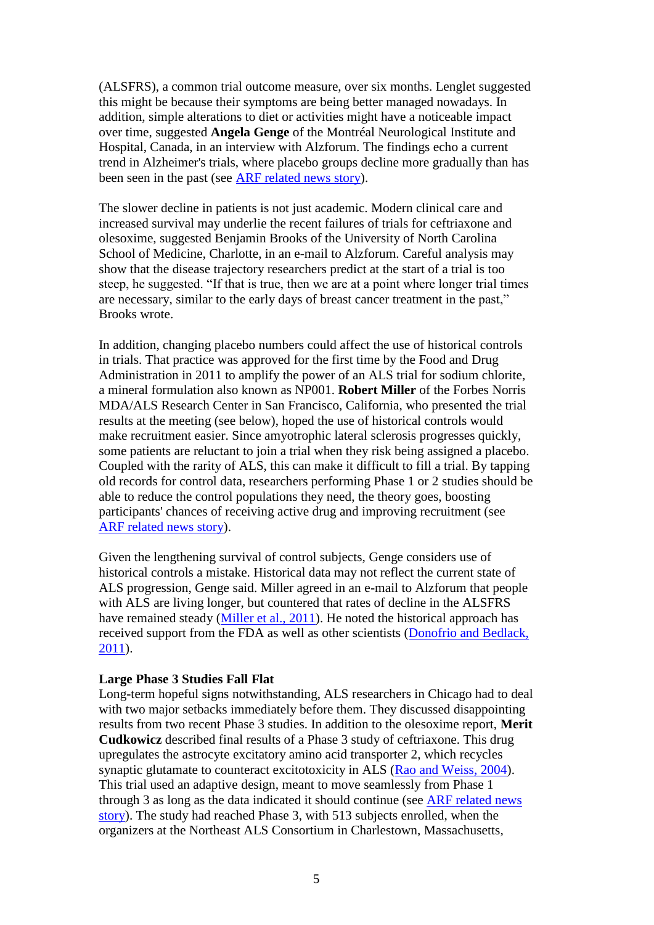(ALSFRS), a common trial outcome measure, over six months. Lenglet suggested this might be because their symptoms are being better managed nowadays. In addition, simple alterations to [diet](http://www.alzforum.org/new/detail.asp?id=3365) or activities might have a noticeable impact over time, suggested **Angela Genge** of the Montréal Neurological Institute and Hospital, Canada, in an interview with Alzforum. The findings echo a current trend in Alzheimer's trials, where placebo groups decline more gradually than has been seen in the past (see [ARF related news story\)](http://www.alzforum.org/new/detail.asp?id=1884).

The slower decline in patients is not just academic. Modern clinical care and increased survival may underlie the recent failures of trials for ceftriaxone and olesoxime, suggested Benjamin Brooks of the University of North Carolina School of Medicine, Charlotte, in an e-mail to Alzforum. Careful analysis may show that the disease trajectory researchers predict at the start of a trial is too steep, he suggested. "If that is true, then we are at a point where longer trial times are necessary, similar to the early days of [breast cancer treatment](http://www.alzforum.org/new/detail.asp?id=3365) in the past," Brooks wrote.

In addition, changing placebo numbers could affect the use of historical controls in trials. That practice was approved for the first time by the Food and Drug Administration in 2011 to amplify the power of an ALS trial for sodium chlorite, a mineral formulation also known as NP001. **Robert Miller** of the Forbes Norris MDA/ALS Research Center in San Francisco, California, who presented the trial results at the meeting (see below), hoped the use of historical controls would make recruitment easier. Since amyotrophic lateral [sclerosis](http://www.alzforum.org/new/detail.asp?id=3365) progresses quickly, some patients are reluctant to join a trial when they risk being assigned a placebo. Coupled with the rarity of ALS, this can make it difficult to fill a trial. By tapping old records for control data, researchers performing Phase 1 or 2 studies should be able to reduce the control populations they need, the theory goes, boosting participants' chances of receiving active drug and improving recruitment (see [ARF related news story\)](http://www.alzforum.org/new/detail.asp?id=2944).

Given the lengthening survival of control subjects, Genge considers use of historical controls a mistake. Historical data may not reflect the current state of ALS progression, Genge said. Miller agreed in an e-mail to Alzforum that people with ALS are living longer, but countered that rates of decline in the ALSFRS have remained steady [\(Miller et al., 2011\)](http://www.alzforum.org/pap/annotation.asp?powID=123524). He noted the historical approach has received support from the FDA as well as other scientists [\(Donofrio and Bedlack,](http://www.alzforum.org/pap/annotation.asp?powID=141491)  [2011\)](http://www.alzforum.org/pap/annotation.asp?powID=141491).

#### **Large Phase 3 Studies Fall Flat**

Long-term hopeful signs notwithstanding, ALS researchers in Chicago had to deal with two major setbacks immediately before them. They discussed disappointing results from two recent Phase 3 studies. In addition to the olesoxime report, **Merit Cudkowicz** described final results of a Phase 3 study of ceftriaxone. This drug upregulates the astrocyte excitatory amino acid transporter 2, which recycles synaptic glutamate to counteract excitotoxicity in ALS [\(Rao and Weiss, 2004\)](http://www.alzforum.org/pap/annotation.asp?powID=33554). This [trial](http://www.clinicaltrials.gov/ct2/show/NCT00349622) used an [adaptive](http://www.alzforum.org/new/detail.asp?id=3365) design, meant to move seamlessly from Phase 1 through 3 as long as the data indicated it should continue (see [ARF related news](http://www.alzforum.org/new/detail.asp?id=2944)  [story\)](http://www.alzforum.org/new/detail.asp?id=2944). The study had reached Phase 3, with 513 subjects enrolled, when the organizers at the Northeast ALS Consortium in Charlestown, Massachusetts,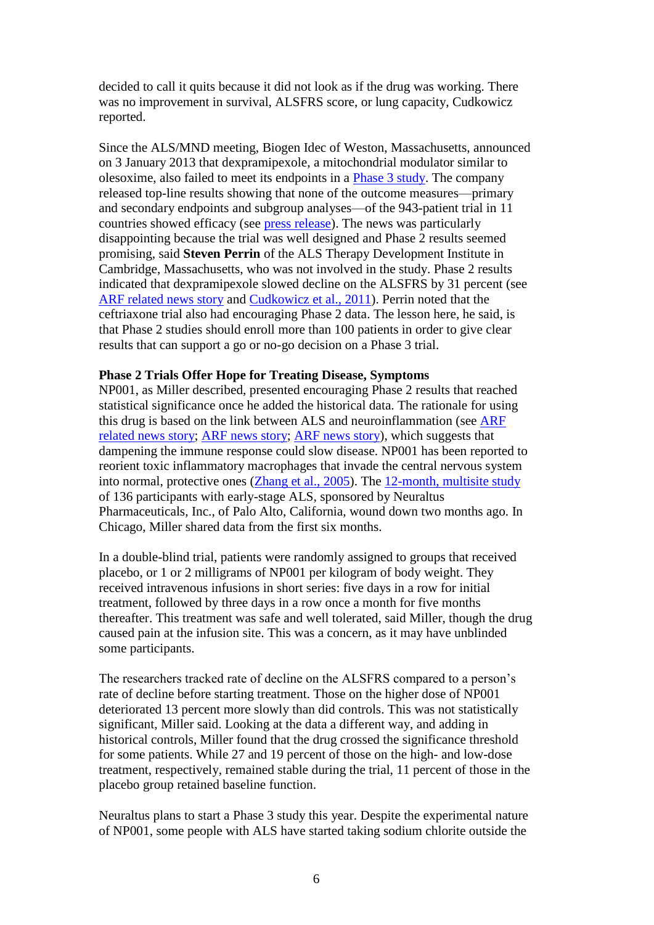decided to call it quits because it did not look as if the drug was working. There was no improvement in survival, ALSFRS score, or lung capacity, Cudkowicz reported.

Since the ALS/MND meeting, Biogen Idec of Weston, Massachusetts, announced on 3 January 2013 that dexpramipexole, a mitochondrial modulator similar to olesoxime, also failed to meet its endpoints in a [Phase 3 study.](http://www.clinicaltrials.gov/ct2/show/NCT01281189) The company released top-line results showing that none of the outcome measures—primary and secondary endpoints and subgroup analyses—of the 943-patient trial in 11 countries showed efficacy (see [press release\)](http://www.biogenidec.com/PRESS_RELEASE_DETAILS.aspx?ID=5981&ReqId=1770780). The news was particularly disappointing because the trial was well designed and Phase 2 results seemed promising, said **Steven Perrin** of the ALS Therapy Development Institute in Cambridge, Massachusetts, who was not involved in the study. Phase 2 results indicated that dexpramipexole slowed decline on the ALSFRS by 31 percent (see [ARF related news story](http://www.alzforum.org/new/detail.asp?id=2973) and [Cudkowicz et al., 2011\)](http://www.alzforum.org/pap/annotation.asp?powID=125650). Perrin noted that the ceftriaxone trial also had encouraging Phase 2 data. The lesson here, he said, is that Phase 2 studies should enroll more than 100 patients in order to give clear results that can support a go or no-go decision on a Phase 3 trial.

#### **Phase 2 Trials Offer Hope for Treating Disease, Symptoms**

NP001, as Miller described, presented encouraging Phase 2 results that reached statistical significance once he added the historical data. The rationale for using this drug is based on the link between ALS and neuroinflammation (see ARF [related news story;](http://www.alzforum.org/new/detail.asp?id=2297) [ARF news story;](http://www.alzforum.org/new/detail.asp?id=2239) [ARF news story\)](http://www.alzforum.org/new/detail.asp?id=1936), which suggests that dampening the immune response could slow disease. NP001 has been reported to reorient toxic inflammatory macrophages that invade the central nervous system into normal, protective ones [\(Zhang et al., 2005\)](http://www.alzforum.org/pap/annotation.asp?powID=42511). The [12-month, multisite study](http://www.clinicaltrials.gov/ct2/show/NCT01281631) of 136 participants with early-stage ALS, sponsored by Neuraltus Pharmaceuticals, Inc., of Palo Alto, California, wound down two months ago. In Chicago, Miller shared data from the first six months.

In a double-blind trial, patients were randomly assigned to groups that received placebo, or 1 or 2 milligrams of NP001 per kilogram of body weight. They received intravenous infusions in short series: five days in a row for initial treatment, followed by three days in a row once a month for five months thereafter. This treatment was safe and well tolerated, said Miller, though the drug caused pain at the infusion site. This was a concern, as it may have unblinded some participants.

The researchers tracked rate of decline on the ALSFRS compared to a person's rate of decline before starting treatment. Those on the higher dose of NP001 deteriorated 13 percent more slowly than did controls. This was not statistically significant, Miller said. Looking at the data a different way, and adding in historical controls, Miller found that the drug crossed the significance threshold for some patients. While 27 and 19 percent of those on the high- and low-dose treatment, respectively, remained stable during the trial, 11 percent of those in the placebo group retained baseline function.

Neuraltus plans to start a Phase 3 study this year. Despite the experimental nature of NP001, some people with ALS have started taking sodium chlorite outside the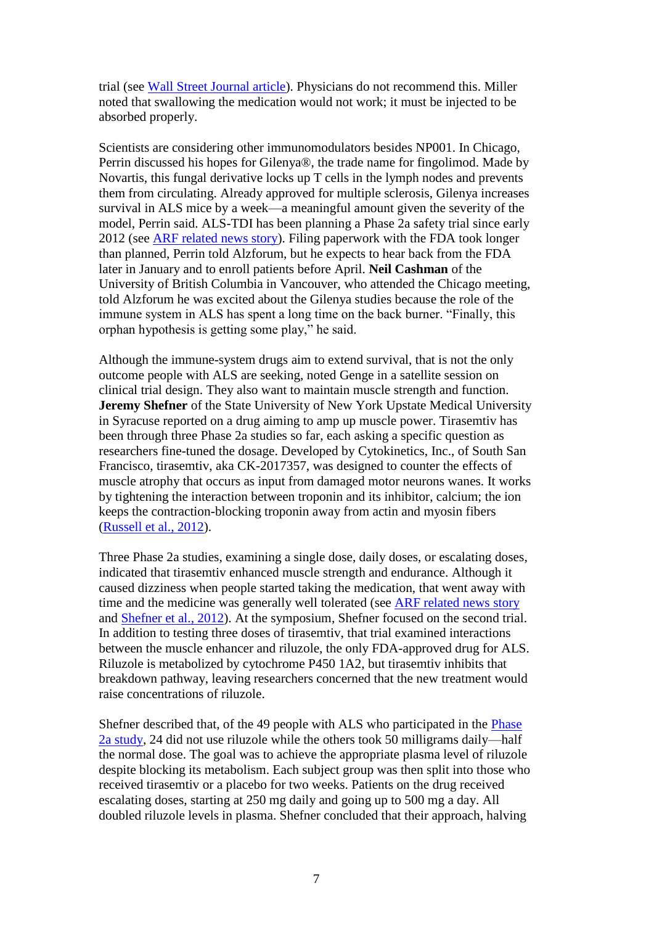trial (see [Wall Street Journal article\)](http://online.wsj.com/article/SB10001424052702304818404577345953943484054.html). Physicians do not recommend this. Miller noted that swallowing the medication would not work; it must be injected to be absorbed properly.

Scientists are considering other immunomodulators besides NP001. In Chicago, Perrin discussed his hopes for Gilenya®, the trade name for fingolimod. Made by Novartis, this fungal derivative locks up T cells in the lymph nodes and prevents them from circulating. Already approved for multiple sclerosis, Gilenya increases survival in ALS mice by a week—a meaningful amount given the severity of the model, Perrin said. ALS-TDI has been planning a Phase 2a safety trial since early 2012 (see [ARF related news story\)](http://www.alzforum.org/new/detail.asp?id=3065). Filing paperwork with the FDA took longer than planned, Perrin told Alzforum, but he expects to hear back from the FDA later in January and to enroll patients before April. **Neil Cashman** of the University of British Columbia in Vancouver, who attended the Chicago meeting, told Alzforum he was excited about the Gilenya studies because the role of the immune system in ALS has spent a long time on the back burner. "Finally, this orphan hypothesis is getting some play," he said.

Although the immune-system drugs aim to extend survival, that is not the only outcome people with ALS are seeking, noted Genge in a satellite session on clinical trial design. They also want to maintain muscle strength and function. **Jeremy Shefner** of the State University of New York Upstate Medical University in Syracuse reported on a drug aiming to amp up muscle power. Tirasemtiv has been through three Phase 2a studies so far, each asking a specific question as researchers fine-tuned the dosage. Developed by Cytokinetics, Inc., of South San Francisco, tirasemtiv, aka CK-2017357, was designed to counter the effects of muscle atrophy that occurs as input from damaged motor neurons wanes. It works by tightening the interaction between troponin and its inhibitor, calcium; the ion keeps the contraction-blocking troponin away from actin and myosin fibers [\(Russell et al., 2012\)](http://www.alzforum.org/pap/annotation.asp?powID=128826).

Three Phase 2a studies, examining a single dose, daily doses, or escalating doses, indicated that tirasemtiv enhanced muscle strength and endurance. Although it caused dizziness when people started taking the medication, that went away with time and the medicine was generally well tolerated (see [ARF related news story](http://www.alzforum.org/new/detail.asp?id=3078) and [Shefner et al., 2012\)](http://www.alzforum.org/pap/annotation.asp?powID=141492). At the symposium, Shefner focused on the second trial. In addition to testing three doses of tirasemtiv, that trial examined interactions between the muscle enhancer and riluzole, the only FDA-approved drug for ALS. Riluzole is metabolized by cytochrome P450 1A2, but tirasemtiv inhibits that breakdown pathway, leaving researchers concerned that the new treatment would raise concentrations of riluzole.

Shefner described that, of the 49 people with ALS who participated in the [Phase](http://www.clinicaltrials.gov/ct2/show/NCT01378676)  [2a study,](http://www.clinicaltrials.gov/ct2/show/NCT01378676) 24 did not use riluzole while the others took 50 milligrams daily—half the normal dose. The goal was to achieve the appropriate plasma level of riluzole despite blocking its metabolism. Each subject group was then split into those who received tirasemtiv or a placebo for two weeks. Patients on the drug received escalating doses, starting at 250 mg daily and going up to 500 mg a day. All doubled riluzole levels in plasma. Shefner concluded that their approach, halving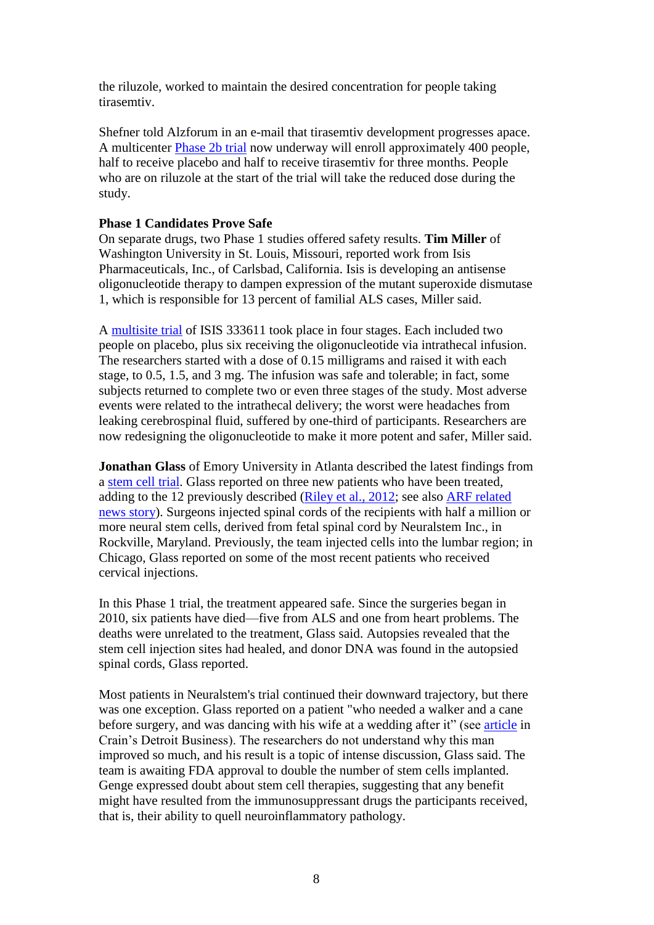the riluzole, worked to maintain the desired concentration for people taking tirasemtiv.

Shefner told Alzforum in an e-mail that tirasemtiv development progresses apace. A multicenter [Phase 2b trial](http://www.clinicaltrials.gov/ct2/show/NCT01709149) now underway will enroll approximately 400 people, half to receive placebo and half to receive tirasemtiv for three months. People who are on riluzole at the start of the trial will take the reduced dose during the study.

#### **Phase 1 Candidates Prove Safe**

On separate drugs, two Phase 1 studies offered safety results. **Tim Miller** of Washington University in St. Louis, Missouri, reported work from Isis Pharmaceuticals, Inc., of Carlsbad, California. Isis is developing an antisense oligonucleotide therapy to dampen expression of the mutant superoxide dismutase 1, which is responsible for 13 percent of familial ALS cases, Miller said.

A [multisite trial](http://www.clinicaltrials.gov/ct2/show/NCT01041222) of ISIS 333611 took place in four stages. Each included two people on placebo, plus six receiving the oligonucleotide via intrathecal infusion. The researchers started with a dose of 0.15 milligrams and raised it with each stage, to 0.5, 1.5, and 3 mg. The infusion was safe and tolerable; in fact, some subjects returned to complete two or even three stages of the study. Most adverse events were related to the intrathecal delivery; the worst were headaches from leaking cerebrospinal fluid, suffered by one-third of participants. Researchers are now redesigning the oligonucleotide to make it more potent and safer, Miller said.

**Jonathan Glass** of Emory University in Atlanta described the latest findings from a [stem cell trial.](http://www.clinicaltrials.gov/ct2/show/NCT01348451) Glass reported on three new patients who have been treated, adding to the 12 previously described [\(Riley et al., 2012;](http://www.alzforum.org/pap/annotation.asp?powID=131883) see also [ARF related](http://www.alzforum.org/new/detail.asp?id=2759)  [news story\)](http://www.alzforum.org/new/detail.asp?id=2759). Surgeons injected spinal cords of the recipients with half a million or more neural stem cells, derived from fetal spinal cord by Neuralstem Inc., in Rockville, Maryland. Previously, the team injected cells into the lumbar region; in Chicago, Glass reported on some of the most recent patients who received cervical injections.

In this Phase 1 trial, the treatment appeared safe. Since the surgeries began in 2010, six patients have died—five from ALS and one from heart problems. The deaths were unrelated to the treatment, Glass said. Autopsies revealed that the stem cell injection sites had healed, and donor DNA was found in the autopsied spinal cords, Glass reported.

Most patients in Neuralstem's trial continued their downward trajectory, but there was one exception. Glass reported on a patient "who needed a walker and a cane before surgery, and was dancing with his wife at a wedding after it" (see [article](http://www.crainsdetroit.com/article/20121130/BLOG007/121139991/als-patient-is-living-his-second-miracle) in Crain's Detroit Business). The researchers do not understand why this man improved so much, and his result is a topic of intense discussion, Glass said. The team is awaiting FDA approval to double the number of stem cells implanted. Genge expressed doubt about stem cell therapies, suggesting that any benefit might have resulted from the immunosuppressant drugs the participants received, that is, their ability to quell neuroinflammatory pathology.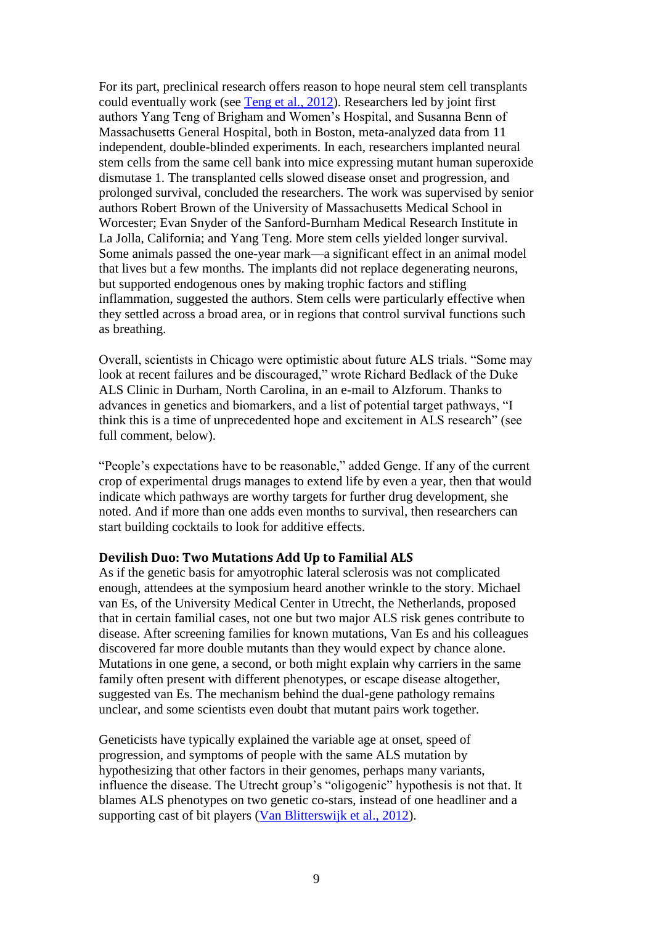For its part, preclinical research offers reason to hope neural stem cell transplants could eventually work (see [Teng et al., 2012\)](http://www.alzforum.org/pap/annotation.asp?powID=141109). Researchers led by joint first authors Yang Teng of Brigham and Women's Hospital, and Susanna Benn of Massachusetts General Hospital, both in Boston, meta-analyzed data from 11 independent, double-blinded experiments. In each, researchers implanted neural stem cells from the same cell bank into mice expressing mutant human superoxide dismutase 1. The transplanted cells slowed disease onset and progression, and prolonged survival, concluded the researchers. The work was supervised by senior authors Robert Brown of the University of Massachusetts Medical School in Worcester; Evan Snyder of the Sanford-Burnham Medical Research Institute in La Jolla, California; and Yang Teng. More stem cells yielded longer survival. Some animals passed the one-year mark—a significant effect in an animal model that lives but a few months. The implants did not replace degenerating neurons, but supported endogenous ones by making trophic factors and stifling inflammation, suggested the authors. Stem cells were particularly effective when they settled across a broad area, or in regions that control survival functions such as breathing.

Overall, scientists in Chicago were optimistic about future ALS trials. "Some may look at recent failures and be discouraged," wrote Richard Bedlack of the Duke ALS Clinic in Durham, North Carolina, in an e-mail to Alzforum. Thanks to advances in genetics and biomarkers, and a list of potential target pathways, "I think this is a time of unprecedented hope and excitement in ALS research" (see full comment, below).

"People's expectations have to be reasonable," added Genge. If any of the current crop of experimental drugs manages to extend life by even a year, then that would indicate which pathways are worthy targets for further drug development, she noted. And if more than one adds even months to survival, then researchers can start building cocktails to look for additive effects.

#### **Devilish Duo: Two Mutations Add Up to Familial ALS**

As if the genetic basis for amyotrophic lateral sclerosis was not complicated enough, attendees at the symposium heard another [wrinkle](http://www.alzforum.org/new/detail.asp?id=3370) to the story. Michael van Es, of the University Medical Center in Utrecht, the Netherlands, proposed that in certain familial cases, not one but two major ALS risk genes contribute to disease. After screening families for known mutations, Van Es and his colleagues discovered far more double mutants than they would expect by chance alone. Mutations in one gene, a second, or both might explain why carriers in the same family often present with different phenotypes, or escape disease altogether, suggested van Es. The mechanism behind the dual-gene pathology remains unclear, and some scientists even doubt that mutant pairs work together.

Geneticists have typically explained the variable age at onset, speed of progression, and symptoms of people with the same ALS mutation by hypothesizing that other factors in their genomes, perhaps many variants, influence the disease. The Utrecht group's "oligogenic" hypothesis is not that. It blames ALS phenotypes on two genetic co-stars, instead of one headliner and a supporting cast of bit players [\(Van Blitterswijk et al., 2012\)](http://www.alzforum.org/pap/annotation.asp?powID=141601).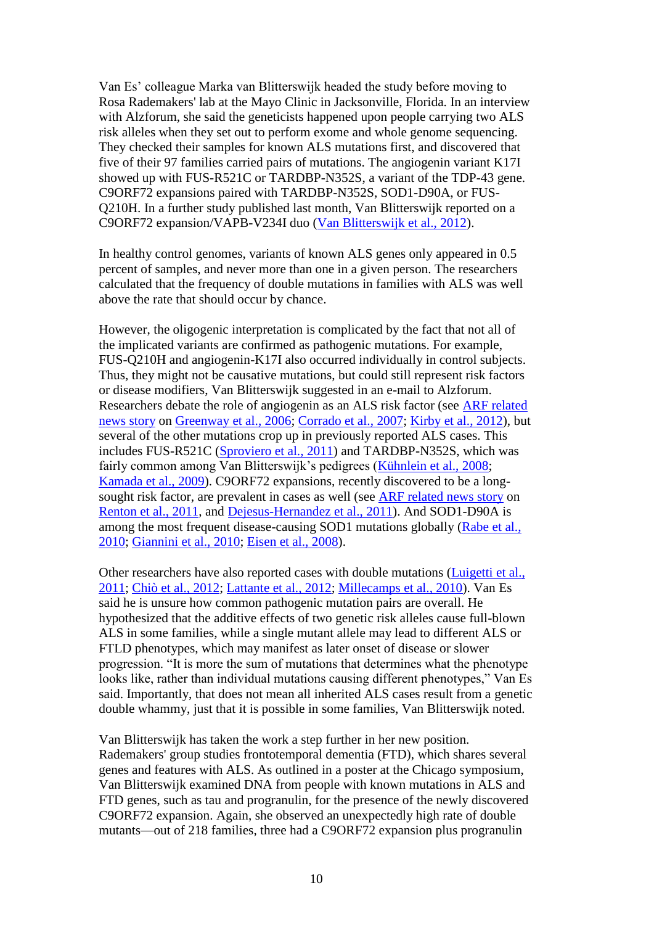Van Es' colleague Marka van Blitterswijk headed the study before moving to Rosa Rademakers' lab at the Mayo Clinic in Jacksonville, Florida. In an interview with Alzforum, she said the geneticists happened upon people carrying two ALS risk alleles when they set out to perform exome and whole genome sequencing. They checked their [samples](http://www.alzforum.org/new/detail.asp?id=3370) for known ALS mutations first, and discovered that five of their 97 families carried pairs of mutations. The angiogenin variant K17I showed up with FUS-R521C or TARDBP-N352S, a variant of the TDP-43 gene. C9ORF72 expansions paired with TARDBP-N352S, SOD1-D90A, or FUS-Q210H. In a further study published last month, Van Blitterswijk reported on a C9ORF72 expansion/VAPB-V234I duo [\(Van Blitterswijk et al., 2012\)](http://www.alzforum.org/pap/annotation.asp?powID=141602).

In healthy control genomes, variants of known ALS genes only appeared in 0.5 percent of samples, and never more than one in a given person. The researchers calculated that the frequency of double mutations in families with ALS was well above the rate that should occur by chance.

However, the oligogenic interpretation is complicated by the fact that not all of the implicated variants are confirmed as pathogenic mutations. For example, FUS-Q210H and angiogenin-K17I also occurred individually in control subjects. Thus, they might not be causative mutations, but could still represent risk factors or disease modifiers, Van Blitterswijk suggested in an e-mail to Alzforum. Researchers debate the role of angiogenin as an ALS risk factor (see [ARF related](http://www.alzforum.org/new/detail.asp?id=1345)  [news story](http://www.alzforum.org/new/detail.asp?id=1345) on [Greenway et al., 2006;](http://www.alzforum.org/pap/annotation.asp?powID=54955) [Corrado et al., 2007;](http://www.alzforum.org/pap/annotation.asp?powID=134652) [Kirby et al., 2012\)](http://www.alzforum.org/pap/annotation.asp?powID=141606), but several of the other mutations crop up in previously reported ALS cases. This includes FUS-R521C [\(Sproviero et al., 2011\)](http://www.alzforum.org/pap/annotation.asp?powID=124187) and TARDBP-N352S, which was fairly common among Van Blitterswijk's pedigrees [\(Kühnlein et al., 2008;](http://www.alzforum.org/pap/annotation.asp?powID=141603) [Kamada et al., 2009\)](http://www.alzforum.org/pap/annotation.asp?powID=104402). C9ORF72 expansions, recently discovered to be a longsought risk factor, are prevalent in cases as well (see [ARF related news story](http://www.alzforum.org/new/detail.asp?id=2906) on [Renton et al., 2011,](http://www.alzforum.org/pap/annotation.asp?powID=122579) and [Dejesus-Hernandez et al., 2011\)](http://www.alzforum.org/pap/annotation.asp?powID=122580). And SOD1-D90A is among the most frequent disease-causing SOD1 mutations globally [\(Rabe et al.,](http://www.alzforum.org/pap/annotation.asp?powID=100806)  [2010;](http://www.alzforum.org/pap/annotation.asp?powID=100806) [Giannini et al., 2010;](http://www.alzforum.org/pap/annotation.asp?powID=141604) [Eisen et al., 2008\)](http://www.alzforum.org/pap/annotation.asp?powID=79014).

Other researchers have also reported cases with double mutations [\(Luigetti et al.,](http://www.alzforum.org/pap/annotation.asp?powID=117942)  [2011;](http://www.alzforum.org/pap/annotation.asp?powID=117942) [Chiò et al., 2012;](http://www.alzforum.org/pap/annotation.asp?powID=131685) [Lattante et al., 2012;](http://www.alzforum.org/pap/annotation.asp?powID=141605) [Millecamps et al., 2010\)](http://www.alzforum.org/pap/annotation.asp?powID=104283). Van Es said he is unsure how common pathogenic mutation pairs are overall. He hypothesized that the additive effects of two genetic risk alleles cause full-blown ALS in some families, while a single mutant allele may lead to different ALS or FTLD phenotypes, which may manifest as later onset of disease or slower progression. "It is more the sum of mutations that determines what the phenotype looks like, rather than individual mutations causing different phenotypes," Van Es said. Importantly, that does not mean all inherited ALS cases result from a genetic double whammy, just that it is possible in some families, Van Blitterswijk noted.

Van Blitterswijk has taken the work a step further in her new position. Rademakers' group studies frontotemporal dementia (FTD), which shares several genes and features with ALS. As outlined in a poster at the Chicago symposium, Van Blitterswijk examined DNA from people with known mutations in ALS and FTD genes, such as tau and progranulin, for the presence of the newly discovered C9ORF72 expansion. Again, she observed an unexpectedly high rate of double mutants—out of 218 families, three had a C9ORF72 expansion plus progranulin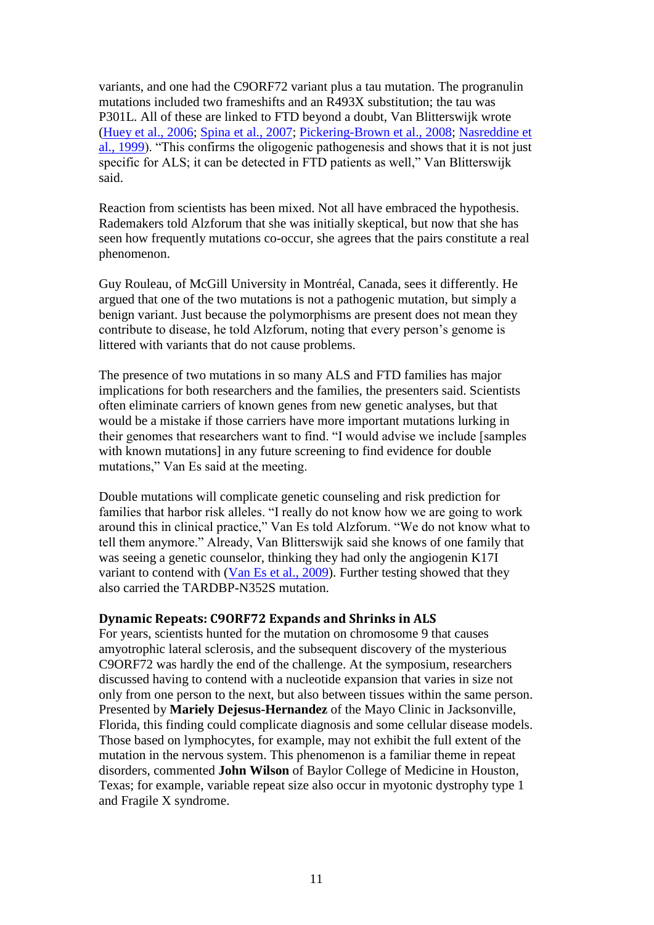variants, and one had the C9ORF72 variant plus a tau mutation. The progranulin mutations included two frameshifts and an R493X substitution; the tau was P301L. All of these are linked to FTD beyond a doubt, Van Blitterswijk wrote [\(Huey et al., 2006;](http://www.alzforum.org/pap/annotation.asp?powID=59056) [Spina et al., 2007;](http://www.alzforum.org/pap/annotation.asp?powID=62315) [Pickering-Brown et al., 2008;](http://www.alzforum.org/pap/annotation.asp?powID=104540) [Nasreddine et](http://www.alzforum.org/pap/annotation.asp?powID=7005)  [al., 1999\)](http://www.alzforum.org/pap/annotation.asp?powID=7005). "This confirms the oligogenic pathogenesis and shows that it is not just specific for ALS; it can be detected in FTD patients as well," Van Blitterswijk said.

Reaction from scientists has been mixed. Not all have embraced the hypothesis. Rademakers told Alzforum that she was initially skeptical, but now that she has seen how frequently mutations co-occur, she agrees that the pairs constitute a real phenomenon.

Guy Rouleau, of McGill University in Montréal, Canada, sees it differently. He argued that one of the two mutations is not a pathogenic mutation, but simply a benign variant. Just because the polymorphisms are present does not mean they contribute to disease, he told Alzforum, noting that every person's genome is littered with variants that do not cause problems.

The presence of two mutations in so many ALS and FTD families has major implications for both researchers and the families, the presenters said. Scientists often eliminate carriers of known genes from new genetic analyses, but that would be a mistake if those carriers have more important mutations lurking in their genomes that researchers want to find. "I would advise we include [samples with known mutations] in any future screening to find evidence for double mutations," Van Es said at the meeting.

Double mutations will complicate genetic counseling and risk prediction for families that harbor risk alleles. "I really do not know how we are going to work around this in clinical practice," Van Es told Alzforum. "We do not know what to tell them anymore." Already, Van Blitterswijk said she knows of one family that was seeing a genetic counselor, thinking they had only the angiogenin K17I variant to contend with [\(Van Es et al., 2009\)](http://www.alzforum.org/pap/annotation.asp?powID=121257). Further testing showed that they also carried the TARDBP-N352S mutation.

### **Dynamic Repeats: C9ORF72 Expands and Shrinks in ALS**

For years, scientists hunted for the mutation on chromosome 9 that causes amyotrophic lateral [sclerosis,](http://www.alzforum.org/new/detail.asp?id=3373) and the subsequent discovery of the mysterious C9ORF72 was hardly the end of the challenge. At the symposium, researchers discussed having to contend with a nucleotide expansion that varies in size not only from one person to the next, but also between tissues within the same person. Presented by **Mariely Dejesus-Hernandez** of the Mayo Clinic in Jacksonville, Florida, this finding could complicate diagnosis and some cellular disease models. Those based on lymphocytes, for example, may not exhibit the full extent of the mutation in the nervous system. This phenomenon is a familiar theme in repeat disorders, commented **John Wilson** of Baylor [College of](http://www.alzforum.org/new/detail.asp?id=3373) Medicine in Houston, Texas; for example, variable repeat size also occur in myotonic dystrophy type 1 and Fragile X syndrome.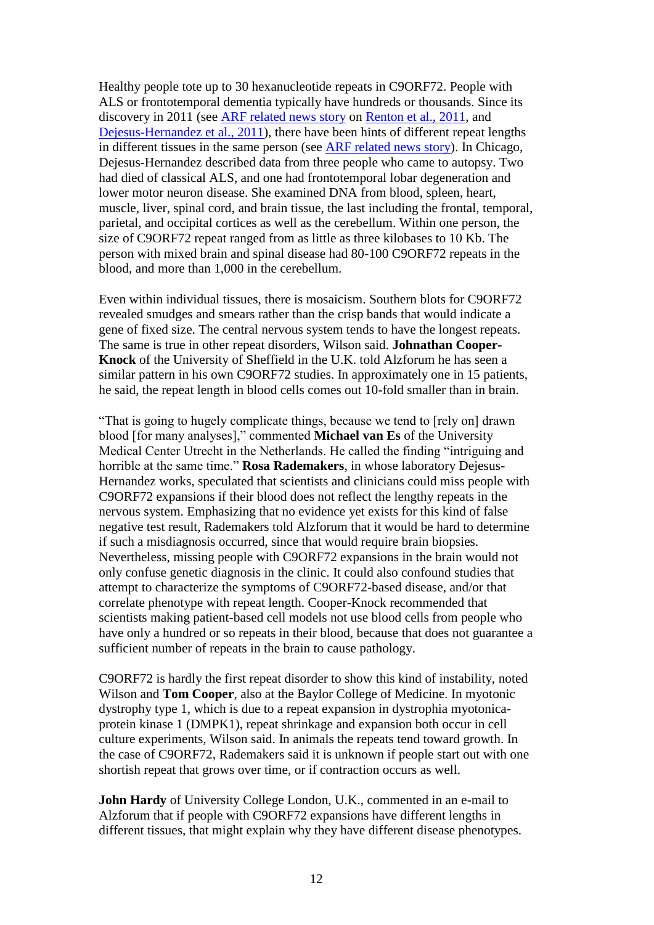Healthy people tote up to 30 hexanucleotide repeats in C9ORF72. People with ALS or frontotemporal [dementia](http://www.alzforum.org/new/detail.asp?id=3373) typically have hundreds or thousands. Since its discovery in 2011 (see [ARF related news story](http://www.alzforum.org/new/detail.asp?id=2906) on [Renton et al., 2011,](http://www.alzforum.org/pap/annotation.asp?powID=122579) and [Dejesus-Hernandez et al., 2011\)](http://www.alzforum.org/pap/annotation.asp?powID=122580), there have been hints of different repeat lengths in different tissues in the same person (see [ARF related news story\)](http://www.alzforum.org/new/detail.asp?id=3189). In Chicago, Dejesus-Hernandez described data from three people who came to autopsy. Two had died of classical ALS, and one had frontotemporal lobar degeneration and lower motor neuron disease. She examined DNA from blood, spleen, heart, muscle, liver, spinal cord, and brain tissue, the last including the frontal, temporal, parietal, and occipital cortices as well as the cerebellum. Within one person, the size of C9ORF72 repeat ranged from as little as three kilobases to 10 Kb. The person with mixed brain and spinal disease had 80-100 C9ORF72 repeats in the blood, and more than 1,000 in the cerebellum.

Even within individual tissues, there is mosaicism. Southern blots for C9ORF72 revealed smudges and smears rather than the crisp bands that would indicate a gene of fixed size. The central nervous system tends to have the longest repeats. The same is true in other repeat disorders, Wilson said. **Johnathan Cooper-Knock** of [the University of](http://www.alzforum.org/new/detail.asp?id=3373) Sheffield in the U.K. told Alzforum he has seen a similar pattern in his own C9ORF72 studies. In approximately one in 15 patients, he said, the repeat length in blood cells comes out 10-fold smaller than in brain.

"That is going to hugely complicate things, because we tend to [rely on] drawn blood [for many analyses]," commented **Michael van Es** of the University Medical Center Utrecht in the Netherlands. He called the finding "intriguing and horrible at the same time." **Rosa Rademakers**, in whose laboratory Dejesus-Hernandez works, speculated that scientists and clinicians could miss people with C9ORF72 expansions if their blood does not reflect the lengthy repeats in the nervous system. Emphasizing that no evidence yet exists for this kind of false negative test result, Rademakers told Alzforum that it would be hard to determine if such a misdiagnosis occurred, since that would require brain biopsies. Nevertheless, missing people with C9ORF72 expansions in the brain would not only confuse genetic diagnosis in the clinic. It could also confound studies that attempt to characterize the symptoms of C9ORF72-based disease, and/or that correlate phenotype with repeat length. Cooper-Knock recommended that scientists making patient-based cell models not use blood cells from people who have only a hundred or so repeats in their blood, because that does not guarantee a sufficient number of repeats in the brain to cause pathology.

C9ORF72 is hardly the first repeat disorder to show this kind of instability, noted Wilson and **Tom Cooper**, also at the Baylor College of Medicine. In myotonic dystrophy type 1, which is due to a repeat expansion in dystrophia myotonicaprotein kinase 1 (DMPK1), repeat shrinkage and expansion both occur in cell culture experiments, Wilson said. In animals the repeats tend toward growth. In the case of C9ORF72, Rademakers said it is unknown if people start out with one shortish repeat that grows over time, or if contraction occurs as well.

**John Hardy** of University College London, U.K., commented in an e-mail to Alzforum that if people with C9ORF72 expansions have different lengths in different tissues, that might explain why they have different disease phenotypes.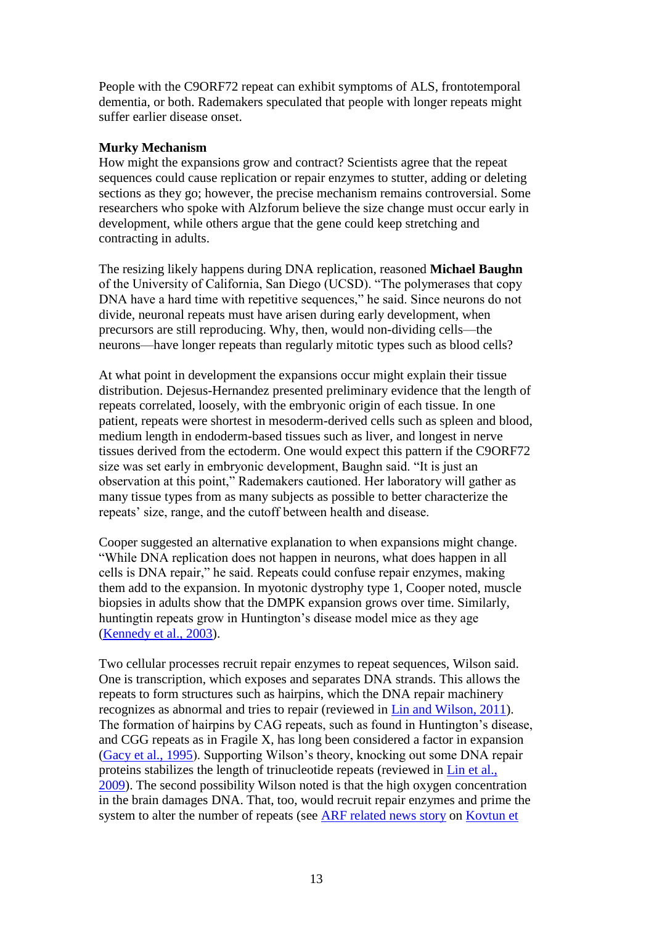People with the C9ORF72 repeat can exhibit symptoms of ALS, frontotemporal dementia, or both. Rademakers speculated that people with longer repeats might suffer earlier disease onset.

### **Murky Mechanism**

How might the expansions grow and contract? Scientists agree that the repeat sequences could cause replication or repair enzymes to stutter, adding or deleting sections as they go; however, the precise mechanism remains controversial. Some researchers who spoke with Alzforum believe the size change must occur early in development, while others argue that the gene could keep stretching and contracting in adults.

The resizing likely happens during DNA replication, reasoned **Michael Baughn** of the University of California, San Diego (UCSD). "The polymerases that copy DNA have a hard time with repetitive sequences," he said. Since neurons do not divide, neuronal repeats must have arisen during early development, when precursors are still reproducing. Why, then, would non-dividing cells—the neurons—have longer repeats than regularly mitotic types such as blood cells?

At what point in development the expansions occur might explain their tissue distribution. Dejesus-Hernandez presented preliminary evidence that the length of repeats correlated, loosely, with the embryonic origin of each tissue. In one patient, repeats were shortest in mesoderm-derived cells such as spleen and blood, medium length in endoderm-based tissues such as liver, and longest in nerve tissues derived from the ectoderm. One would expect this pattern if the C9ORF72 size was set early in embryonic development, Baughn said. "It is just an observation at this point," Rademakers cautioned. Her laboratory will gather as many tissue types from as many subjects as possible to better characterize the repeats' size, range, and the cutoff between health and disease.

Cooper suggested an alternative explanation to when expansions might change. "While DNA replication does not happen in neurons, what does happen in all cells is DNA repair," he said. Repeats could confuse repair enzymes, making them add to the expansion. In myotonic dystrophy type 1, Cooper noted, muscle biopsies in adults show that the DMPK expansion grows over time. Similarly, huntingtin repeats grow in Huntington's disease model mice as they age [\(Kennedy et al., 2003\)](http://www.alzforum.org/pap/annotation.asp?powID=31855).

Two cellular processes recruit repair enzymes to repeat sequences, Wilson said. One is transcription, which exposes and separates DNA strands. This allows the repeats to form structures such as hairpins, which the DNA repair machinery recognizes as abnormal and tries to repair (reviewed in [Lin and Wilson, 2011\)](http://www.alzforum.org/pap/annotation.asp?powID=113687). The formation of hairpins by CAG repeats, such as found in Huntington's disease, and CGG repeats as in Fragile X, has long been considered a factor in expansion [\(Gacy et al., 1995\)](http://www.alzforum.org/pap/annotation.asp?powID=141833). Supporting Wilson's theory, knocking out some DNA repair proteins stabilizes the length of trinucleotide repeats (reviewed in [Lin et al.,](http://www.alzforum.org/pap/annotation.asp?powID=83098)  [2009\)](http://www.alzforum.org/pap/annotation.asp?powID=83098). The second possibility Wilson noted is that the high oxygen concentration in the brain damages DNA. That, too, would recruit repair enzymes and prime the system to alter the number of repeats (see [ARF related news story](http://www.alzforum.org/new/detail.asp?id=1576) on [Kovtun et](http://www.alzforum.org/pap/annotation.asp?powID=65764)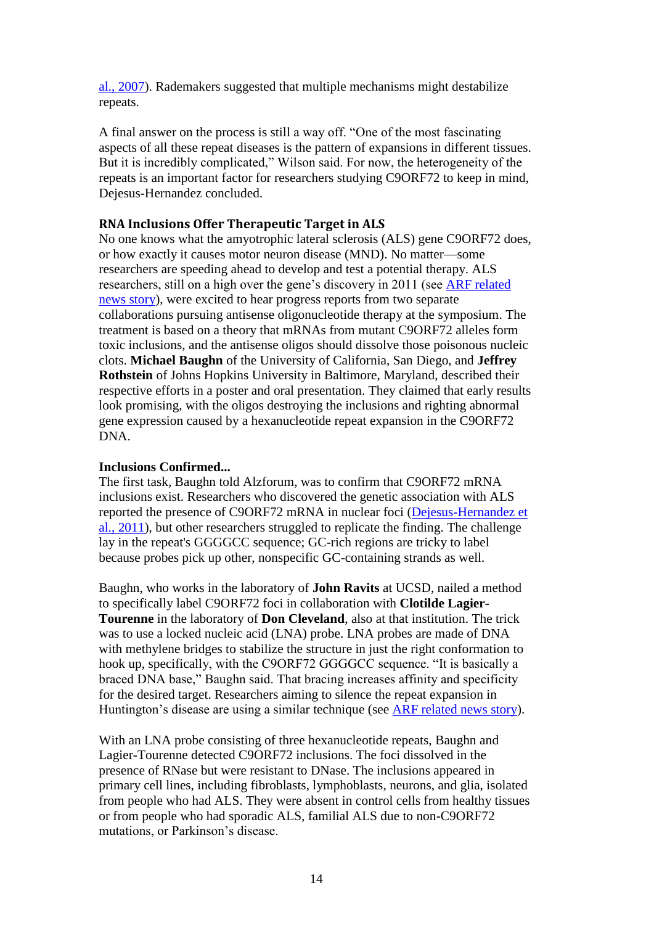al., 2007). Rademakers suggested that multiple mechanisms might destabilize repeats.

A final answer on the process is still a way off. "One of the most fascinating aspects of all these repeat diseases is the pattern of expansions in different tissues. But it is incredibly complicated," Wilson said. For now, the heterogeneity of the repeats is an important factor for researchers studying C9ORF72 to keep in mind, Dejesus-Hernandez concluded.

# **RNA Inclusions Offer Therapeutic Target in ALS**

No one knows what the amyotrophic lateral sclerosis (ALS) gene C9ORF72 does, or how exactly it causes motor neuron disease (MND). No matter—some researchers are [speeding](http://www.alzforum.org/new/detail.asp?id=3374) ahead to develop and test a potential therapy. ALS researchers, still on a high over the gene's discovery in 2011 (see [ARF related](http://www.alzforum.org/new/detail.asp?id=2906)  [news story\)](http://www.alzforum.org/new/detail.asp?id=2906), were excited to hear progress reports from two separate collaborations pursuing antisense oligonucleotide therapy at the symposium. The treatment is based on a theory that mRNAs from mutant C9ORF72 alleles form toxic inclusions, and the antisense oligos should dissolve those poisonous nucleic clots. **Michael Baughn** of [the University of California,](http://www.alzforum.org/new/detail.asp?id=3374) San Diego, and **Jeffrey Rothstein** of Johns Hopkins University in Baltimore, Maryland, described their respective efforts in a poster and oral presentation. They claimed that early results look promising, with the oligos destroying the inclusions and righting abnormal gene expression caused by a hexanucleotide repeat expansion in the C9ORF72 DNA.

### **Inclusions Confirmed...**

The first task, Baughn told Alzforum, was to confirm that C9ORF72 mRNA inclusions exist. Researchers who discovered the genetic association with ALS reported the presence of C9ORF72 mRNA in nuclear foci [\(Dejesus-Hernandez et](http://www.alzforum.org/pap/annotation.asp?powID=122580)  [al., 2011\)](http://www.alzforum.org/pap/annotation.asp?powID=122580), but other researchers struggled to replicate the finding. The challenge lay in the repeat's GGGGCC sequence; GC-rich regions are tricky to label because probes pick up other, nonspecific GC-containing strands as well.

Baughn, who works in the laboratory of **John Ravits** at UCSD, nailed a method to specifically label C9ORF72 foci in [collaboration](http://www.alzforum.org/new/detail.asp?id=3374) with **Clotilde Lagier-Tourenne** in the laboratory of **Don Cleveland**, also at that institution. The trick was to use a locked nucleic acid (LNA) probe. LNA probes are made of DNA with methylene bridges to stabilize the structure in just the right conformation to [hook up,](http://www.alzforum.org/new/detail.asp?id=3374) specifically, with the C9ORF72 GGGGCC sequence. "It is basically a braced DNA base," Baughn said. That bracing increases affinity and specificity for the desired target. Researchers aiming to silence the repeat expansion in Huntington's disease are using a similar technique (see [ARF related news story\)](http://www.alzforum.org/new/detail.asp?id=2123).

With an LNA probe consisting of three hexanucleotide repeats, Baughn and Lagier-Tourenne detected C9ORF72 inclusions. The foci dissolved in the presence of RNase but were resistant to DNase. The inclusions appeared in primary cell lines, including fibroblasts, lymphoblasts, neurons, and glia, isolated from people who had ALS. They were absent in control cells from healthy tissues or from people who had sporadic ALS, familial ALS due to non-C9ORF72 mutations, or Parkinson's disease.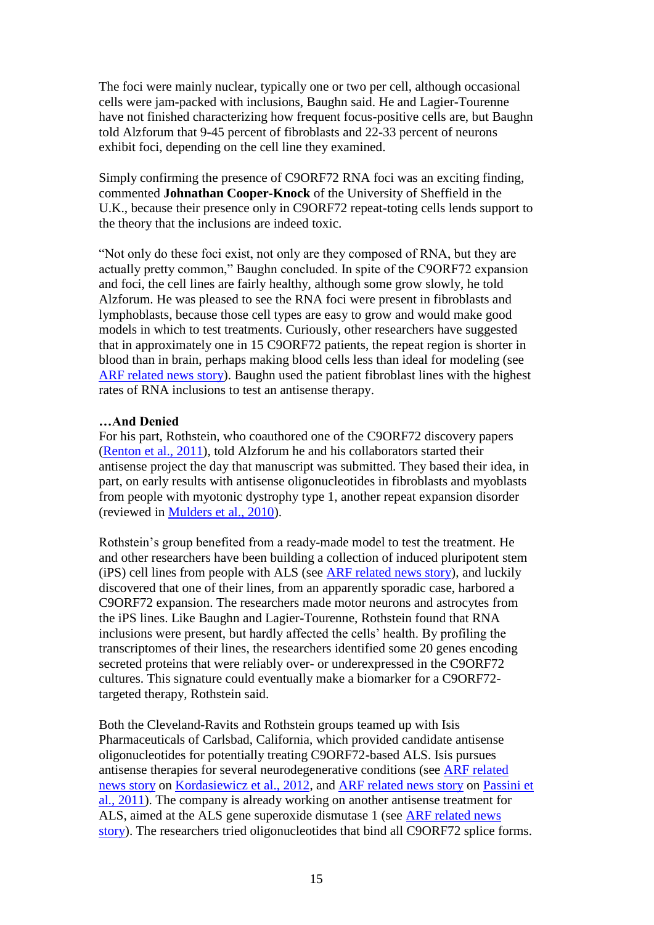The foci were mainly nuclear, typically one or two per cell, although occasional cells were jam-packed with inclusions, Baughn said. He and Lagier-Tourenne have not finished characterizing how frequent focus-positive cells are, but Baughn told Alzforum that 9-45 percent of fibroblasts and 22-33 percent of neurons exhibit foci, depending on the cell line they examined.

Simply confirming the presence of C9ORF72 RNA foci was an exciting finding, commented **Johnathan Cooper-Knock** of [the University of](http://www.alzforum.org/new/detail.asp?id=3374) Sheffield in the U.K., because their presence only in C9ORF72 repeat-toting cells lends support to the theory that the inclusions are indeed toxic.

"Not only do these foci exist, not only are they composed of RNA, but they are actually pretty common," Baughn concluded. In spite of the C9ORF72 expansion and foci, the cell lines are fairly healthy, although some grow slowly, he told Alzforum. He was pleased to see the RNA foci were present in fibroblasts and lymphoblasts, because those cell types are easy to grow and would make good models in which to test treatments. Curiously, other researchers have suggested that in approximately one in 15 C9ORF72 patients, the repeat region is shorter in blood than in brain, perhaps making blood cells less than ideal for modeling (see [ARF related news story\)](http://www.alzforum.org/new/detail.asp?id=3374). Baughn used the patient fibroblast lines with the highest rates of RNA inclusions to test an antisense therapy.

#### **…And Denied**

For his part, Rothstein, who coauthored one of the C9ORF72 discovery papers [\(Renton et al., 2011\)](http://www.alzforum.org/pap/annotation.asp?powID=122579), told Alzforum he and his collaborators started their antisense project the day that manuscript was submitted. They based their idea, in part, on early results with antisense oligonucleotides in fibroblasts and myoblasts from people with myotonic dystrophy type 1, another repeat expansion disorder (reviewed in [Mulders et al., 2010\)](http://www.alzforum.org/pap/annotation.asp?powID=141834).

Rothstein's group benefited from a ready-made model to test the treatment. He and other researchers have been building a collection of induced pluripotent stem (iPS) cell lines from people with ALS (see [ARF related news story\)](http://www.alzforum.org/new/detail.asp?id=2561), and luckily discovered that one of their lines, from an apparently sporadic case, harbored a C9ORF72 expansion. The researchers made motor neurons and astrocytes from the iPS lines. Like Baughn and Lagier-Tourenne, Rothstein found that RNA inclusions were present, but hardly affected the cells' health. By profiling the transcriptomes of their lines, the researchers identified some 20 genes encoding secreted proteins that were reliably over- or underexpressed in the C9ORF72 cultures. This signature could eventually make a biomarker for a C9ORF72 targeted therapy, Rothstein said.

Both the Cleveland-Ravits and Rothstein groups teamed up with Isis Pharmaceuticals of Carlsbad, California, which provided candidate antisense oligonucleotides for potentially treating C9ORF72-based ALS. Isis pursues antisense therapies for several neurodegenerative conditions (see [ARF related](http://www.alzforum.org/new/detail.asp?id=3190)  [news story](http://www.alzforum.org/new/detail.asp?id=3190) on [Kordasiewicz et al., 2012,](http://www.alzforum.org/pap/annotation.asp?powID=133913) and [ARF related news story](http://www.alzforum.org/new/detail.asp?id=2719) on [Passini et](http://www.alzforum.org/pap/annotation.asp?powID=114880)  [al., 2011\)](http://www.alzforum.org/pap/annotation.asp?powID=114880). The company is already working on another antisense treatment for ALS, aimed at the ALS gene superoxide dismutase 1 (see [ARF related news](http://www.alzforum.org/new/detail.asp?id=3365)  [story\)](http://www.alzforum.org/new/detail.asp?id=3365). The researchers tried oligonucleotides that bind all C9ORF72 splice forms.